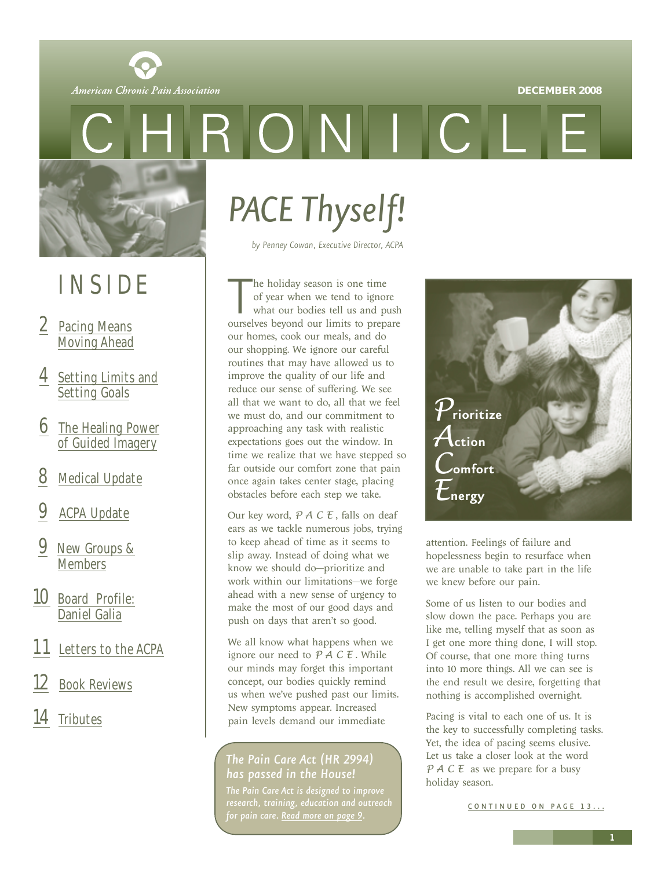#### **DECEMBER 2008**

<span id="page-0-0"></span>

RONI

## INSIDE

- 2 Pacing Means [Moving Ahead](#page-1-0)
- 4 [Setting Limits and](#page-3-0) Setting Goals
- **6** [The Healing Power](#page-5-0) of Guided Imagery
- **[Medical Update](#page-7-0)**
- **[ACPA Update](#page-8-0)**
- 9 [New Groups &](#page-8-0) **Members**
- 10 [Board Profile:](#page-9-0) Daniel Galia
- [Letters to the ACPA](#page-10-0)
- **[Book Reviews](#page-11-0)**
- 14 [Tributes](#page-13-0)

# *PACE Thyself!*

*by Penney Cowan, Executive Director, ACPA*

The holiday season is one time<br>of year when we tend to ignore<br>what our bodies tell us and push<br>ourselves beyond our limits to prepare he holiday season is one time of year when we tend to ignore what our bodies tell us and push our homes, cook our meals, and do our shopping. We ignore our careful routines that may have allowed us to improve the quality of our life and reduce our sense of suffering. We see all that we want to do, all that we feel we must do, and our commitment to approaching any task with realistic expectations goes out the window. In time we realize that we have stepped so far outside our comfort zone that pain once again takes center stage, placing obstacles before each step we take.

Our key word, *PACE* , falls on deaf ears as we tackle numerous jobs, trying to keep ahead of time as it seems to slip away. Instead of doing what we know we should do—prioritize and work within our limitations—we forge ahead with a new sense of urgency to make the most of our good days and push on days that aren't so good.

We all know what happens when we ignore our need to *PACE* . While our minds may forget this important concept, our bodies quickly remind us when we've pushed past our limits. New symptoms appear. Increased pain levels demand our immediate

### *The Pain Care Act (HR 2994) has passed in the House!*

*The Pain Care Act is designed to improve research, training, education and outreach for pain care. [Read more on page 9.](#page-8-0)*



attention. Feelings of failure and hopelessness begin to resurface when we are unable to take part in the life we knew before our pain.

Some of us listen to our bodies and slow down the pace. Perhaps you are like me, telling myself that as soon as I get one more thing done, I will stop. Of course, that one more thing turns into 10 more things. All we can see is the end result we desire, forgetting that nothing is accomplished overnight.

Pacing is vital to each one of us. It is the key to successfully completing tasks. Yet, the idea of pacing seems elusive. Let us take a closer look at the word *PACE* as we prepare for a busy holiday season.

[CONTINUED ON PAGE 13 ...](#page-12-0)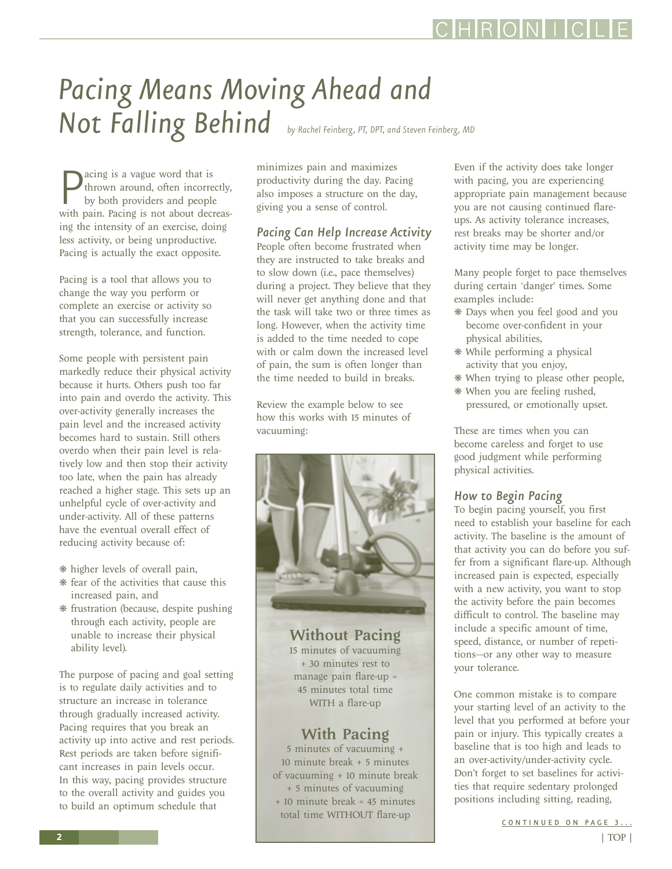# <span id="page-1-0"></span>*Pacing Means Moving Ahead and Not Falling Behind by Rachel Feinberg, PT, DPT, and Steven Feinberg, MD*

**P** acing is a vague word that is<br>thrown around, often incorrectly,<br>by both providers and people<br>with pain. Pacing is not about decreasacing is a vague word that is thrown around, often incorrectly, by both providers and people ing the intensity of an exercise, doing less activity, or being unproductive. Pacing is actually the exact opposite.

Pacing is a tool that allows you to change the way you perform or complete an exercise or activity so that you can successfully increase strength, tolerance, and function.

Some people with persistent pain markedly reduce their physical activity because it hurts. Others push too far into pain and overdo the activity. This over-activity generally increases the pain level and the increased activity becomes hard to sustain. Still others overdo when their pain level is relatively low and then stop their activity too late, when the pain has already reached a higher stage. This sets up an unhelpful cycle of over-activity and under-activity. All of these patterns have the eventual overall effect of reducing activity because of:

- ❋ higher levels of overall pain,
- ❋ fear of the activities that cause this increased pain, and
- ❋ frustration (because, despite pushing through each activity, people are unable to increase their physical ability level).

The purpose of pacing and goal setting is to regulate daily activities and to structure an increase in tolerance through gradually increased activity. Pacing requires that you break an activity up into active and rest periods. Rest periods are taken before significant increases in pain levels occur. In this way, pacing provides structure to the overall activity and guides you to build an optimum schedule that

minimizes pain and maximizes productivity during the day. Pacing also imposes a structure on the day, giving you a sense of control.

*Pacing Can Help Increase Activity*

People often become frustrated when they are instructed to take breaks and to slow down (i.e., pace themselves) during a project. They believe that they will never get anything done and that the task will take two or three times as long. However, when the activity time is added to the time needed to cope with or calm down the increased level of pain, the sum is often longer than the time needed to build in breaks.

Review the example below to see how this works with 15 minutes of vacuuming:



Without Pacing 15 minutes of vacuuming + 30 minutes rest to manage pain flare-up = 45 minutes total time WITH a flare-up

### With Pacing

5 minutes of vacuuming + 10 minute break + 5 minutes of vacuuming + 10 minute break + 5 minutes of vacuuming + 10 minute break = 45 minutes total time WITHOUT flare-up

Even if the activity does take longer with pacing, you are experiencing appropriate pain management because you are not causing continued flareups. As activity tolerance increases, rest breaks may be shorter and/or activity time may be longer.

Many people forget to pace themselves during certain 'danger' times. Some examples include:

- ❋ Days when you feel good and you become over-confident in your physical abilities,
- ❋ While performing a physical activity that you enjoy,
- ❋ When trying to please other people,
- ❋ When you are feeling rushed, pressured, or emotionally upset.

These are times when you can become careless and forget to use good judgment while performing physical activities.

### *How to Begin Pacing*

To begin pacing yourself, you first need to establish your baseline for each activity. The baseline is the amount of that activity you can do before you suffer from a significant flare-up. Although increased pain is expected, especially with a new activity, you want to stop the activity before the pain becomes difficult to control. The baseline may include a specific amount of time, speed, distance, or number of repetitions—or any other way to measure your tolerance.

One common mistake is to compare your starting level of an activity to the level that you performed at before your pain or injury. This typically creates a baseline that is too high and leads to an over-activity/under-activity cycle. Don't forget to set baselines for activities that require sedentary prolonged positions including sitting, reading,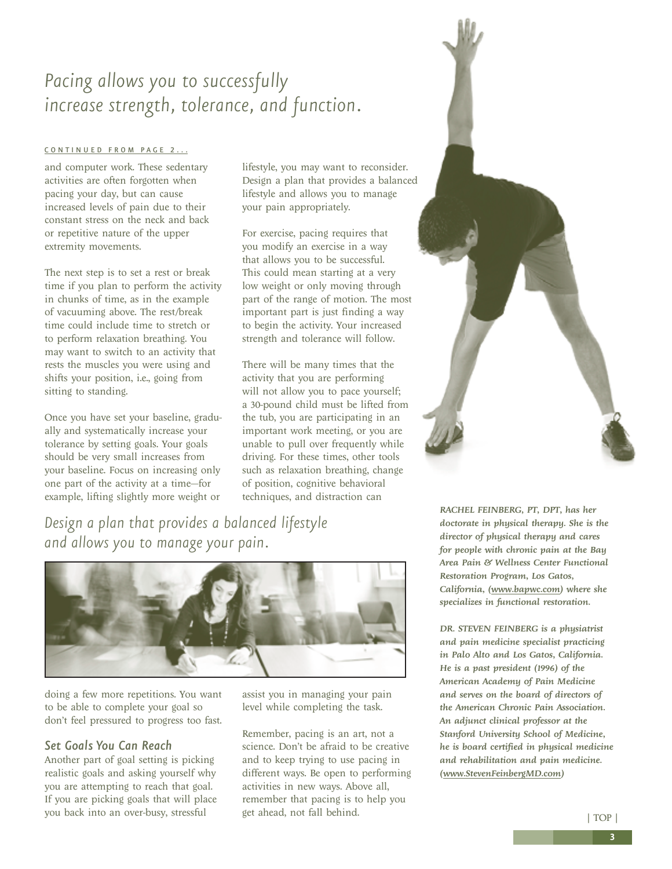### <span id="page-2-0"></span>*Pacing allows you to successfully increase strength, tolerance, and function.*

#### [CONTINUED FROM PAGE 2...](#page-1-0)

and computer work. These sedentary activities are often forgotten when pacing your day, but can cause increased levels of pain due to their constant stress on the neck and back or repetitive nature of the upper extremity movements.

The next step is to set a rest or break time if you plan to perform the activity in chunks of time, as in the example of vacuuming above. The rest/break time could include time to stretch or to perform relaxation breathing. You may want to switch to an activity that rests the muscles you were using and shifts your position, i.e., going from sitting to standing.

Once you have set your baseline, gradually and systematically increase your tolerance by setting goals. Your goals should be very small increases from your baseline. Focus on increasing only one part of the activity at a time—for example, lifting slightly more weight or

lifestyle, you may want to reconsider. Design a plan that provides a balanced lifestyle and allows you to manage your pain appropriately.

For exercise, pacing requires that you modify an exercise in a way that allows you to be successful. This could mean starting at a very low weight or only moving through part of the range of motion. The most important part is just finding a way to begin the activity. Your increased strength and tolerance will follow.

There will be many times that the activity that you are performing will not allow you to pace yourself; a 30-pound child must be lifted from the tub, you are participating in an important work meeting, or you are unable to pull over frequently while driving. For these times, other tools such as relaxation breathing, change of position, cognitive behavioral techniques, and distraction can

*Design a plan that provides a balanced lifestyle and allows you to manage your pain.*



doing a few more repetitions. You want to be able to complete your goal so don't feel pressured to progress too fast.

### *Set Goals You Can Reach*

Another part of goal setting is picking realistic goals and asking yourself why you are attempting to reach that goal. If you are picking goals that will place you back into an over-busy, stressful

assist you in managing your pain level while completing the task.

Remember, pacing is an art, not a science. Don't be afraid to be creative and to keep trying to use pacing in different ways. Be open to performing activities in new ways. Above all, remember that pacing is to help you get ahead, not fall behind.



*RACHEL FEINBERG, PT, DPT, has her doctorate in physical therapy. She is the director of physical therapy and cares for people with chronic pain at the Bay Area Pain & Wellness Center Functional Restoration Program, Los Gatos, California, [\(www.bapwc.com\)](www.bapwc.com) where she specializes in functional restoration.* 

*DR. STEVEN FEINBERG is a physiatrist and pain medicine specialist practicing in Palo Alto and Los Gatos, California. He is a past president (1996) of the American Academy of Pain Medicine and serves on the board of directors of the American Chronic Pain Association. An adjunct clinical professor at the Stanford University School of Medicine, he is board certified in physical medicine and rehabilitation and pain medicine. [\(www.StevenFeinbergMD.com\)](www.StevenFeinbergMD.com)* 

[| TOP |](#page-0-0)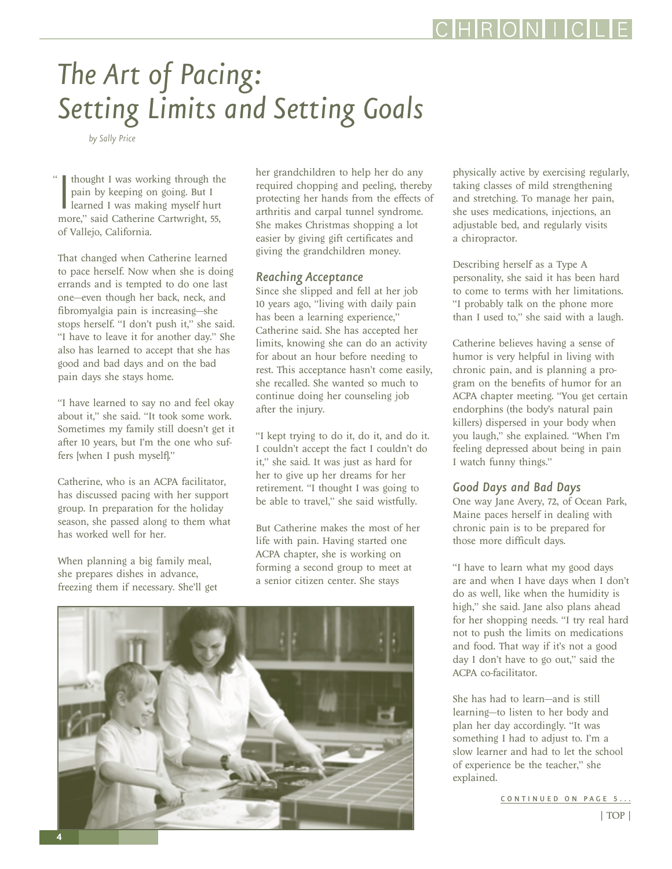# <span id="page-3-0"></span>*The Art of Pacing: Setting Limits and Setting Goals*

*by Sally Price*

I thought I was working through the pain by keeping on going. But I learned I was making myself hurt more," said Catherine Cartwright, 55, thought I was working through the pain by keeping on going. But I learned I was making myself hurt of Vallejo, California. "

That changed when Catherine learned to pace herself. Now when she is doing errands and is tempted to do one last one—even though her back, neck, and fibromyalgia pain is increasing—she stops herself. "I don't push it," she said. "I have to leave it for another day." She also has learned to accept that she has good and bad days and on the bad pain days she stays home.

"I have learned to say no and feel okay about it," she said. "It took some work. Sometimes my family still doesn't get it after 10 years, but I'm the one who suffers [when I push myself]."

Catherine, who is an ACPA facilitator, has discussed pacing with her support group. In preparation for the holiday season, she passed along to them what has worked well for her.

When planning a big family meal, she prepares dishes in advance, freezing them if necessary. She'll get her grandchildren to help her do any required chopping and peeling, thereby protecting her hands from the effects of arthritis and carpal tunnel syndrome. She makes Christmas shopping a lot easier by giving gift certificates and giving the grandchildren money.

### *Reaching Acceptance*

Since she slipped and fell at her job 10 years ago, "living with daily pain has been a learning experience," Catherine said. She has accepted her limits, knowing she can do an activity for about an hour before needing to rest. This acceptance hasn't come easily, she recalled. She wanted so much to continue doing her counseling job after the injury.

"I kept trying to do it, do it, and do it. I couldn't accept the fact I couldn't do it," she said. It was just as hard for her to give up her dreams for her retirement. "I thought I was going to be able to travel," she said wistfully.

But Catherine makes the most of her life with pain. Having started one ACPA chapter, she is working on forming a second group to meet at a senior citizen center. She stays



physically active by exercising regularly, taking classes of mild strengthening and stretching. To manage her pain, she uses medications, injections, an adjustable bed, and regularly visits a chiropractor.

Describing herself as a Type A personality, she said it has been hard to come to terms with her limitations. "I probably talk on the phone more than I used to," she said with a laugh.

Catherine believes having a sense of humor is very helpful in living with chronic pain, and is planning a program on the benefits of humor for an ACPA chapter meeting. "You get certain endorphins (the body's natural pain killers) dispersed in your body when you laugh," she explained. "When I'm feeling depressed about being in pain I watch funny things."

### *Good Days and Bad Days*

One way Jane Avery, 72, of Ocean Park, Maine paces herself in dealing with chronic pain is to be prepared for those more difficult days.

"I have to learn what my good days are and when I have days when I don't do as well, like when the humidity is high," she said. Jane also plans ahead for her shopping needs. "I try real hard not to push the limits on medications and food. That way if it's not a good day I don't have to go out," said the ACPA co-facilitator.

She has had to learn—and is still learning—to listen to her body and plan her day accordingly. "It was something I had to adjust to. I'm a slow learner and had to let the school of experience be the teacher," she explained.

[CONTINUED ON PAGE 5...](#page-4-0)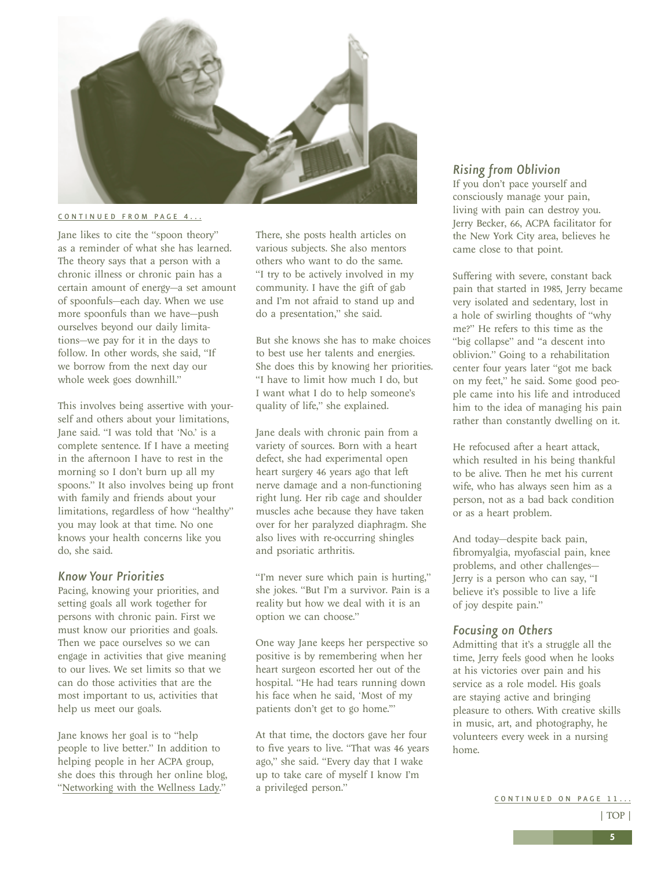<span id="page-4-0"></span>

#### [CONTINUED FROM PAGE 4...](#page-3-0)

Jane likes to cite the "spoon theory" as a reminder of what she has learned. The theory says that a person with a chronic illness or chronic pain has a certain amount of energy—a set amount of spoonfuls—each day. When we use more spoonfuls than we have—push ourselves beyond our daily limitations—we pay for it in the days to follow. In other words, she said, "If we borrow from the next day our whole week goes downhill."

This involves being assertive with yourself and others about your limitations, Jane said. "I was told that 'No.' is a complete sentence. If I have a meeting in the afternoon I have to rest in the morning so I don't burn up all my spoons." It also involves being up front with family and friends about your limitations, regardless of how "healthy" you may look at that time. No one knows your health concerns like you do, she said.

#### *Know Your Priorities*

Pacing, knowing your priorities, and setting goals all work together for persons with chronic pain. First we must know our priorities and goals. Then we pace ourselves so we can engage in activities that give meaning to our lives. We set limits so that we can do those activities that are the most important to us, activities that help us meet our goals.

Jane knows her goal is to "help people to live better." In addition to helping people in her ACPA group, she does this through her online blog, ["Networking with the Wellness Lady.](http://wellnesslady.blogspot.com)"

There, she posts health articles on various subjects. She also mentors others who want to do the same. "I try to be actively involved in my community. I have the gift of gab and I'm not afraid to stand up and do a presentation," she said.

But she knows she has to make choices to best use her talents and energies. She does this by knowing her priorities. "I have to limit how much I do, but I want what I do to help someone's quality of life," she explained.

Jane deals with chronic pain from a variety of sources. Born with a heart defect, she had experimental open heart surgery 46 years ago that left nerve damage and a non-functioning right lung. Her rib cage and shoulder muscles ache because they have taken over for her paralyzed diaphragm. She also lives with re-occurring shingles and psoriatic arthritis.

"I'm never sure which pain is hurting," she jokes. "But I'm a survivor. Pain is a reality but how we deal with it is an option we can choose."

One way Jane keeps her perspective so positive is by remembering when her heart surgeon escorted her out of the hospital. "He had tears running down his face when he said, 'Most of my patients don't get to go home.'"

At that time, the doctors gave her four to five years to live. "That was 46 years ago," she said. "Every day that I wake up to take care of myself I know I'm a privileged person."

### *Rising from Oblivion*

If you don't pace yourself and consciously manage your pain, living with pain can destroy you. Jerry Becker, 66, ACPA facilitator for the New York City area, believes he came close to that point.

Suffering with severe, constant back pain that started in 1985, Jerry became very isolated and sedentary, lost in a hole of swirling thoughts of "why me?" He refers to this time as the "big collapse" and "a descent into oblivion." Going to a rehabilitation center four years later "got me back on my feet," he said. Some good people came into his life and introduced him to the idea of managing his pain rather than constantly dwelling on it.

He refocused after a heart attack, which resulted in his being thankful to be alive. Then he met his current wife, who has always seen him as a person, not as a bad back condition or as a heart problem.

And today—despite back pain, fibromyalgia, myofascial pain, knee problems, and other challenges— Jerry is a person who can say, "I believe it's possible to live a life of joy despite pain."

### *Focusing on Others*

Admitting that it's a struggle all the time, Jerry feels good when he looks at his victories over pain and his service as a role model. His goals are staying active and bringing pleasure to others. With creative skills in music, art, and photography, he volunteers every week in a nursing home.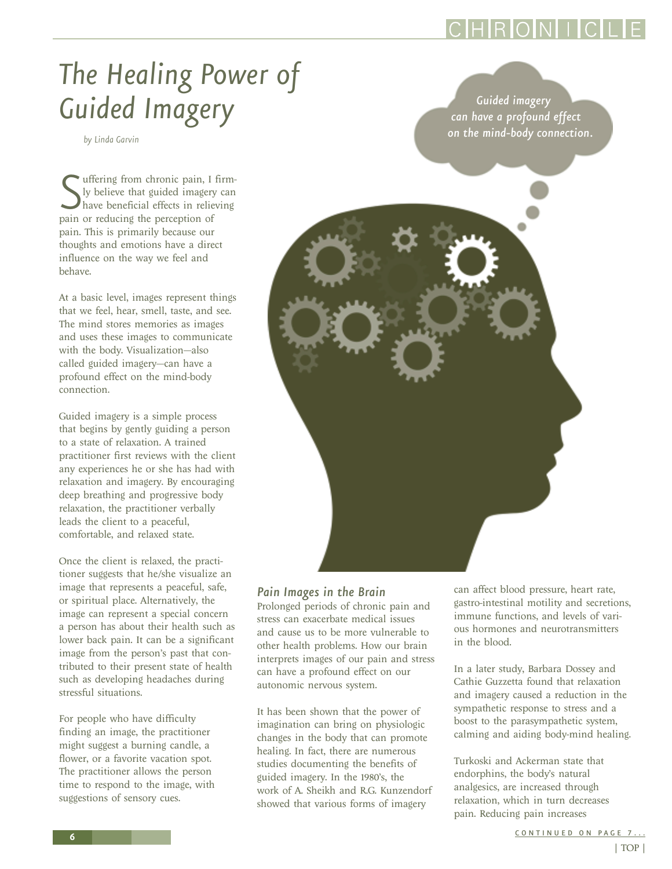# <span id="page-5-0"></span>*The Healing Power of*  Guided Imagery **Guided Imagery Guided imagery**

*by Linda Garvin*

Suffering from chronic pain, I ly believe that guided imagery<br>have beneficial effects in relie<br>pain or reducing the perception of uffering from chronic pain, I firmly believe that guided imagery can have beneficial effects in relieving pain. This is primarily because our thoughts and emotions have a direct influence on the way we feel and behave.

At a basic level, images represent things that we feel, hear, smell, taste, and see. The mind stores memories as images and uses these images to communicate with the body. Visualization—also called guided imagery—can have a profound effect on the mind-body connection.

Guided imagery is a simple process that begins by gently guiding a person to a state of relaxation. A trained practitioner first reviews with the client any experiences he or she has had with relaxation and imagery. By encouraging deep breathing and progressive body relaxation, the practitioner verbally leads the client to a peaceful, comfortable, and relaxed state.

Once the client is relaxed, the practitioner suggests that he/she visualize an image that represents a peaceful, safe, or spiritual place. Alternatively, the image can represent a special concern a person has about their health such as lower back pain. It can be a significant image from the person's past that contributed to their present state of health such as developing headaches during stressful situations.

For people who have difficulty finding an image, the practitioner might suggest a burning candle, a flower, or a favorite vacation spot. The practitioner allows the person time to respond to the image, with suggestions of sensory cues.

*can have a profound effect on the mind-body connection.* 

*Pain Images in the Brain*

Prolonged periods of chronic pain and stress can exacerbate medical issues and cause us to be more vulnerable to other health problems. How our brain interprets images of our pain and stress can have a profound effect on our autonomic nervous system.

It has been shown that the power of imagination can bring on physiologic changes in the body that can promote healing. In fact, there are numerous studies documenting the benefits of guided imagery. In the 1980's, the work of A. Sheikh and R.G. Kunzendorf showed that various forms of imagery

can affect blood pressure, heart rate, gastro-intestinal motility and secretions, immune functions, and levels of various hormones and neurotransmitters in the blood.

In a later study, Barbara Dossey and Cathie Guzzetta found that relaxation and imagery caused a reduction in the sympathetic response to stress and a boost to the parasympathetic system, calming and aiding body-mind healing.

Turkoski and Ackerman state that endorphins, the body's natural analgesics, are increased through relaxation, which in turn decreases pain. Reducing pain increases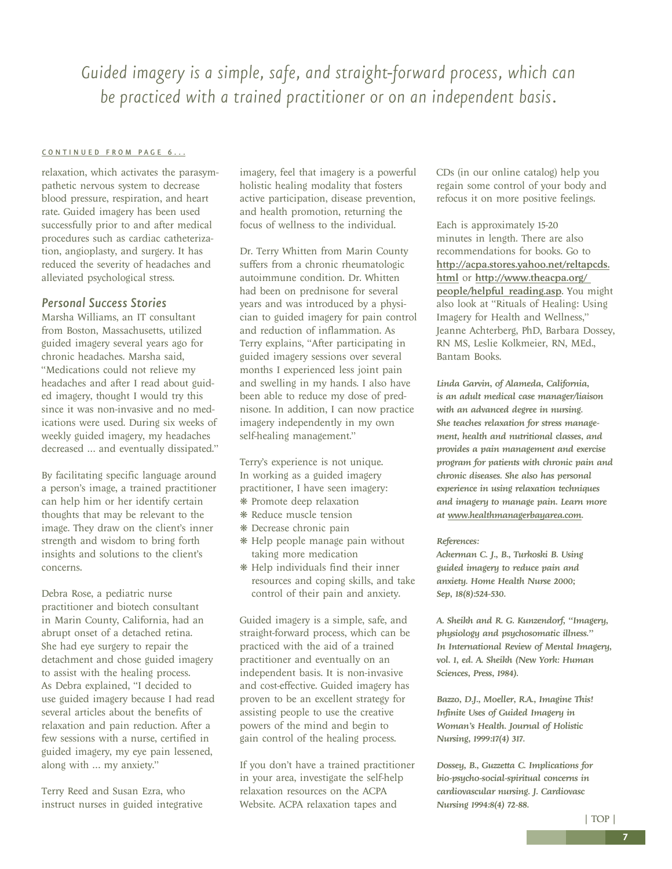<span id="page-6-0"></span>*Guided imagery is a simple, safe, and straight-forward process, which can be practiced with a trained practitioner or on an independent basis.*

#### [CONTINUED FROM PAGE 6...](#page-5-0)

relaxation, which activates the parasympathetic nervous system to decrease blood pressure, respiration, and heart rate. Guided imagery has been used successfully prior to and after medical procedures such as cardiac catheterization, angioplasty, and surgery. It has reduced the severity of headaches and alleviated psychological stress.

### *Personal Success Stories*

Marsha Williams, an IT consultant from Boston, Massachusetts, utilized guided imagery several years ago for chronic headaches. Marsha said, "Medications could not relieve my headaches and after I read about guided imagery, thought I would try this since it was non-invasive and no medications were used. During six weeks of weekly guided imagery, my headaches decreased … and eventually dissipated."

By facilitating specific language around a person's image, a trained practitioner can help him or her identify certain thoughts that may be relevant to the image. They draw on the client's inner strength and wisdom to bring forth insights and solutions to the client's concerns.

Debra Rose, a pediatric nurse practitioner and biotech consultant in Marin County, California, had an abrupt onset of a detached retina. She had eye surgery to repair the detachment and chose guided imagery to assist with the healing process. As Debra explained, "I decided to use guided imagery because I had read several articles about the benefits of relaxation and pain reduction. After a few sessions with a nurse, certified in guided imagery, my eye pain lessened, along with … my anxiety."

Terry Reed and Susan Ezra, who instruct nurses in guided integrative imagery, feel that imagery is a powerful holistic healing modality that fosters active participation, disease prevention, and health promotion, returning the focus of wellness to the individual.

Dr. Terry Whitten from Marin County suffers from a chronic rheumatologic autoimmune condition. Dr. Whitten had been on prednisone for several years and was introduced by a physician to guided imagery for pain control and reduction of inflammation. As Terry explains, "After participating in guided imagery sessions over several months I experienced less joint pain and swelling in my hands. I also have been able to reduce my dose of prednisone. In addition, I can now practice imagery independently in my own self-healing management."

Terry's experience is not unique. In working as a guided imagery practitioner, I have seen imagery: ❋ Promote deep relaxation

- ❋ Reduce muscle tension
- ❋ Decrease chronic pain
- ❋ Help people manage pain without taking more medication
- ❋ Help individuals find their inner resources and coping skills, and take control of their pain and anxiety.

Guided imagery is a simple, safe, and straight-forward process, which can be practiced with the aid of a trained practitioner and eventually on an independent basis. It is non-invasive and cost-effective. Guided imagery has proven to be an excellent strategy for assisting people to use the creative powers of the mind and begin to gain control of the healing process.

If you don't have a trained practitioner in your area, investigate the self-help relaxation resources on the ACPA Website. ACPA relaxation tapes and

CDs (in our online catalog) help you regain some control of your body and refocus it on more positive feelings.

Each is approximately 15-20 minutes in length. There are also recommendations for books. Go to [http://acpa.stores.yahoo.net/reltapcds.](http://acpa.stores.yahoo.net/reltapcds.html) [html](http://acpa.stores.yahoo.net/reltapcds.html) or [http://www.theacpa.org/](http://www.theacpa.org/people/helpful_reading.asp)  people/helpful reading.asp. You might also look at "Rituals of Healing: Using Imagery for Health and Wellness," Jeanne Achterberg, PhD, Barbara Dossey, RN MS, Leslie Kolkmeier, RN, MEd., Bantam Books.

*Linda Garvin, of Alameda, California, is an adult medical case manager/liaison with an advanced degree in nursing. She teaches relaxation for stress management, health and nutritional classes, and provides a pain management and exercise program for patients with chronic pain and chronic diseases. She also has personal experience in using relaxation techniques and imagery to manage pain. Learn more at www.healthmanagerbayarea.com.*

#### *References:*

*Ackerman C. J., B., Turkoski B. Using guided imagery to reduce pain and anxiety. Home Health Nurse 2000; Sep, 18(8):524-530.*

*A. Sheikh and R. G. Kunzendorf, "Imagery, physiology and psychosomatic illness." In International Review of Mental Imagery, vol. 1, ed. A. Sheikh (New York: Human Sciences, Press, 1984).*

*Bazzo, D.J., Moeller, R.A., Imagine This! Infinite Uses of Guided Imagery in Woman's Health. Journal of Holistic Nursing, 1999:17(4) 317.*

*Dossey, B., Guzzetta C. Implications for bio-psycho-social-spiritual concerns in cardiovascular nursing. J. Cardiovasc Nursing 1994:8(4) 72-88.*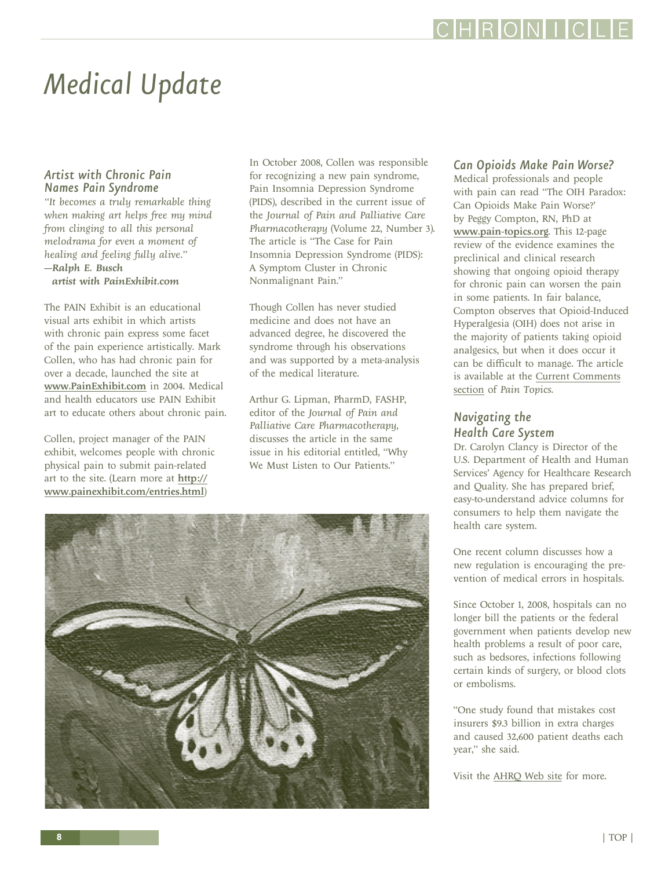# <span id="page-7-0"></span>*Medical Update*

### *Artist with Chronic Pain Names Pain Syndrome*

*"It becomes a truly remarkable thing when making art helps free my mind from clinging to all this personal melodrama for even a moment of healing and feeling fully alive." —Ralph E. Busch*

*artist with PainExhibit.com*

The PAIN Exhibit is an educational visual arts exhibit in which artists with chronic pain express some facet of the pain experience artistically. Mark Collen, who has had chronic pain for over a decade, launched the site at www.PainExhibit.com in 2004. Medical and health educators use PAIN Exhibit art to educate others about chronic pain.

Collen, project manager of the PAIN exhibit, welcomes people with chronic physical pain to submit pain-related art to the site. (Learn more at http:// www.painexhibit.com/entries.html)

In October 2008, Collen was responsible for recognizing a new pain syndrome, Pain Insomnia Depression Syndrome (PIDS), described in the current issue of the *Journal of Pain and Palliative Care Pharmacotherapy* (Volume 22, Number 3). The article is "The Case for Pain Insomnia Depression Syndrome (PIDS): A Symptom Cluster in Chronic Nonmalignant Pain."

Though Collen has never studied medicine and does not have an advanced degree, he discovered the syndrome through his observations and was supported by a meta-analysis of the medical literature.

Arthur G. Lipman, PharmD, FASHP, editor of the *Journal of Pain and Palliative Care Pharmacotherapy*, discusses the article in the same issue in his editorial entitled, "Why We Must Listen to Our Patients."



### *Can Opioids Make Pain Worse?*

Medical professionals and people with pain can read "The OIH Paradox: Can Opioids Make Pain Worse?' by Peggy Compton, RN, PhD at www.pain-topics.org. This 12-page review of the evidence examines the preclinical and clinical research showing that ongoing opioid therapy for chronic pain can worsen the pain in some patients. In fair balance, Compton observes that Opioid-Induced Hyperalgesia (OIH) does not arise in the majority of patients taking opioid analgesics, but when it does occur it can be difficult to manage. The article is available at the [Current Comments](http://pain-topics.org/clinical_concepts/comments.php# ComptonOIH) [section](http://pain-topics.org/clinical_concepts/comments.php# ComptonOIH) of *Pain Topics*.

### *Navigating the Health Care System*

Dr. Carolyn Clancy is Director of the U.S. Department of Health and Human Services' Agency for Healthcare Research and Quality. She has prepared brief, easy-to-understand advice columns for consumers to help them navigate the health care system.

One recent column discusses how a new regulation is encouraging the prevention of medical errors in hospitals.

Since October 1, 2008, hospitals can no longer bill the patients or the federal government when patients develop new health problems a result of poor care, such as bedsores, infections following certain kinds of surgery, or blood clots or embolisms.

"One study found that mistakes cost insurers \$9.3 billion in extra charges and caused 32,600 patient deaths each year," she said.

Visit the [AHRQ Web site](http://www.ahrq.gov/consumer/cc.htm) for more.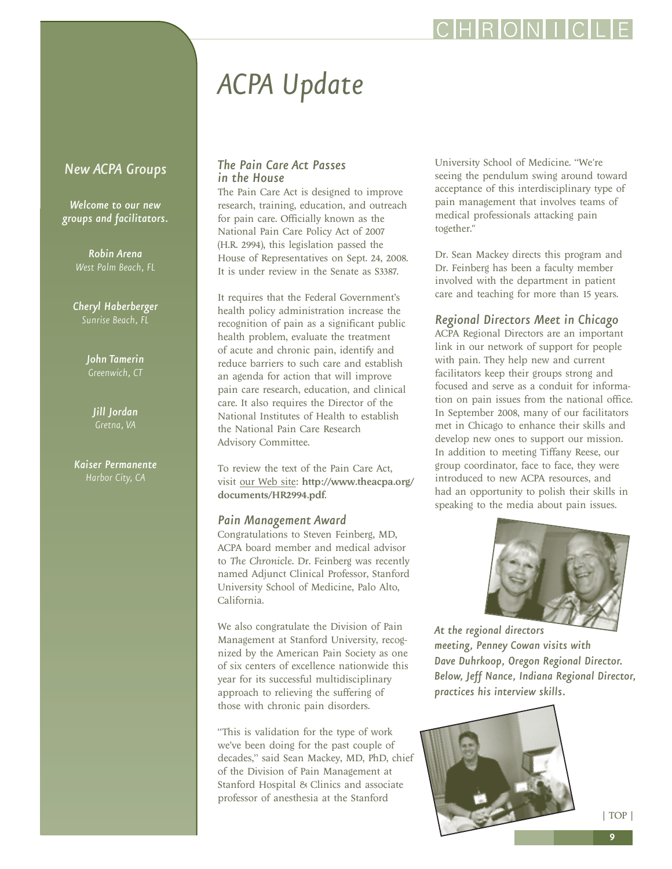# *ACPA Update*

### <span id="page-8-0"></span>*New ACPA Groups*

*Welcome to our new groups and facilitators.*

> *Robin Arena West Palm Beach, FL*

*Cheryl Haberberger Sunrise Beach, FL*

*John Tamerin*

*Jill Jordan Gretna, VA*

*Kaiser Permanente Harbor City, CA*

### *The Pain Care Act Passes in the House*

The Pain Care Act is designed to improve research, training, education, and outreach for pain care. Officially known as the National Pain Care Policy Act of 2007 (H.R. 2994), this legislation passed the House of Representatives on Sept. 24, 2008. It is under review in the Senate as S3387.

It requires that the Federal Government's health policy administration increase the recognition of pain as a significant public health problem, evaluate the treatment of acute and chronic pain, identify and reduce barriers to such care and establish an agenda for action that will improve pain care research, education, and clinical care. It also requires the Director of the National Institutes of Health to establish the National Pain Care Research Advisory Committee.

To review the text of the Pain Care Act, visit [our Web site:](http://www.theacpa.org/documents/HR2994.pdf) http://www.theacpa.org/ documents/HR2994.pdf.

### *Pain Management Award*

Congratulations to Steven Feinberg, MD, ACPA board member and medical advisor to *The Chronicle*. Dr. Feinberg was recently named Adjunct Clinical Professor, Stanford University School of Medicine, Palo Alto, California.

We also congratulate the Division of Pain Management at Stanford University, recognized by the American Pain Society as one of six centers of excellence nationwide this year for its successful multidisciplinary approach to relieving the suffering of those with chronic pain disorders.

"This is validation for the type of work we've been doing for the past couple of decades," said Sean Mackey, MD, PhD, chief of the Division of Pain Management at Stanford Hospital & Clinics and associate professor of anesthesia at the Stanford

University School of Medicine. "We're seeing the pendulum swing around toward acceptance of this interdisciplinary type of pain management that involves teams of medical professionals attacking pain together."

**RIOINI** 

Dr. Sean Mackey directs this program and Dr. Feinberg has been a faculty member involved with the department in patient care and teaching for more than 15 years.

### *Regional Directors Meet in Chicago*

ACPA Regional Directors are an important link in our network of support for people with pain. They help new and current facilitators keep their groups strong and focused and serve as a conduit for information on pain issues from the national office. In September 2008, many of our facilitators met in Chicago to enhance their skills and develop new ones to support our mission. In addition to meeting Tiffany Reese, our group coordinator, face to face, they were introduced to new ACPA resources, and had an opportunity to polish their skills in speaking to the media about pain issues.



*At the regional directors meeting, Penney Cowan visits with Dave Duhrkoop, Oregon Regional Director. Below, Jeff Nance, Indiana Regional Director, practices his interview skills.*

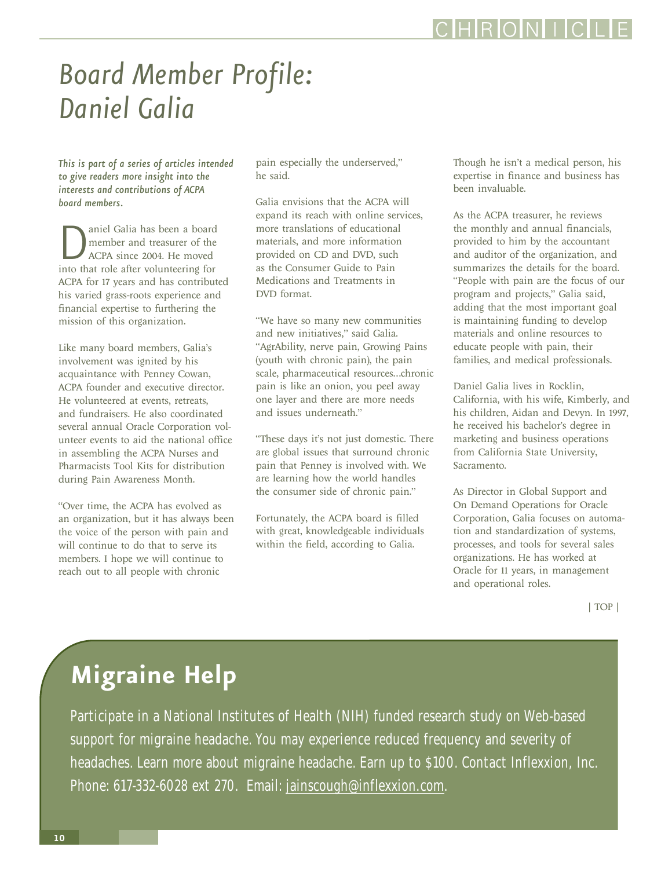## <span id="page-9-0"></span>*Board Member Profile: Daniel Galia*

*This is part of a series of articles intended to give readers more insight into the interests and contributions of ACPA board members.*

**D**<br> **C** and treasurer of the<br>
ACPA since 2004. He moved<br>
into that role after volunteering for member and treasurer of the ACPA since 2004. He moved ACPA for 17 years and has contributed his varied grass-roots experience and financial expertise to furthering the mission of this organization.

Like many board members, Galia's involvement was ignited by his acquaintance with Penney Cowan, ACPA founder and executive director. He volunteered at events, retreats, and fundraisers. He also coordinated several annual Oracle Corporation volunteer events to aid the national office in assembling the ACPA Nurses and Pharmacists Tool Kits for distribution during Pain Awareness Month.

"Over time, the ACPA has evolved as an organization, but it has always been the voice of the person with pain and will continue to do that to serve its members. I hope we will continue to reach out to all people with chronic

pain especially the underserved," he said.

Galia envisions that the ACPA will expand its reach with online services, more translations of educational materials, and more information provided on CD and DVD, such as the Consumer Guide to Pain Medications and Treatments in DVD format.

"We have so many new communities and new initiatives," said Galia. "AgrAbility, nerve pain, Growing Pains (youth with chronic pain), the pain scale, pharmaceutical resources…chronic pain is like an onion, you peel away one layer and there are more needs and issues underneath."

"These days it's not just domestic. There are global issues that surround chronic pain that Penney is involved with. We are learning how the world handles the consumer side of chronic pain."

Fortunately, the ACPA board is filled with great, knowledgeable individuals within the field, according to Galia.

Though he isn't a medical person, his expertise in finance and business has been invaluable.

As the ACPA treasurer, he reviews the monthly and annual financials, provided to him by the accountant and auditor of the organization, and summarizes the details for the board. "People with pain are the focus of our program and projects," Galia said, adding that the most important goal is maintaining funding to develop materials and online resources to educate people with pain, their families, and medical professionals.

Daniel Galia lives in Rocklin, California, with his wife, Kimberly, and his children, Aidan and Devyn. In 1997, he received his bachelor's degree in marketing and business operations from California State University, Sacramento.

As Director in Global Support and On Demand Operations for Oracle Corporation, Galia focuses on automation and standardization of systems, processes, and tools for several sales organizations. He has worked at Oracle for 11 years, in management and operational roles.

[| TOP |](#page-0-0)

### **Migraine Help**

Participate in a National Institutes of Health (NIH) funded research study on Web-based support for migraine headache. You may experience reduced frequency and severity of headaches. Learn more about migraine headache. Earn up to \$100. Contact Inflexxion, Inc. Phone: 617-332-6028 ext 270. Email: [jainscough@inflexxion.com.](mailto:jainscough@inflexxion.com)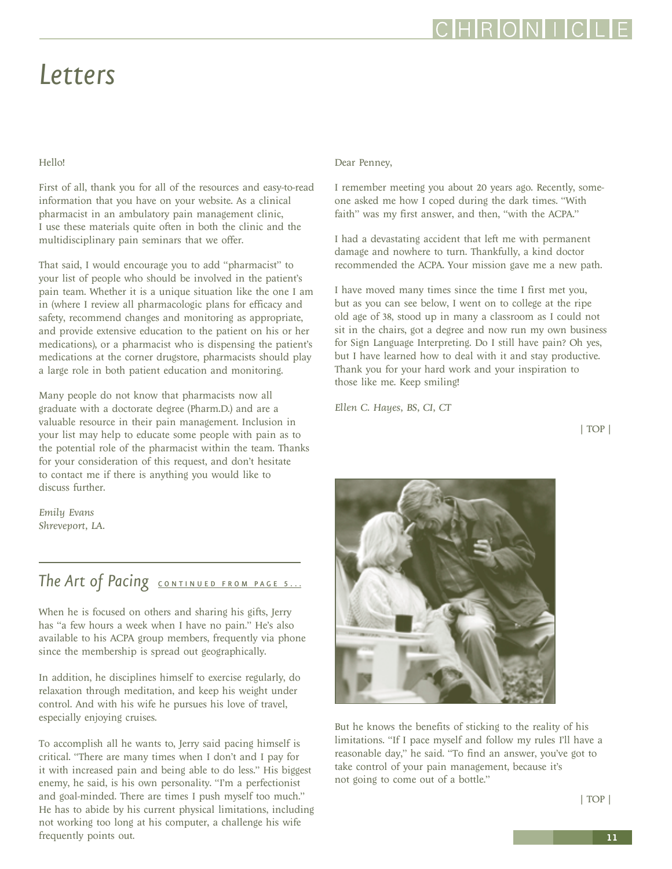[| TOP |](#page-0-0)

**11**

### <span id="page-10-0"></span>*Letters*

### Hello!

First of all, thank you for all of the resources and easy-to-read information that you have on your website. As a clinical pharmacist in an ambulatory pain management clinic, I use these materials quite often in both the clinic and the multidisciplinary pain seminars that we offer.

That said, I would encourage you to add "pharmacist" to your list of people who should be involved in the patient's pain team. Whether it is a unique situation like the one I am in (where I review all pharmacologic plans for efficacy and safety, recommend changes and monitoring as appropriate, and provide extensive education to the patient on his or her medications), or a pharmacist who is dispensing the patient's medications at the corner drugstore, pharmacists should play a large role in both patient education and monitoring.

Many people do not know that pharmacists now all graduate with a doctorate degree (Pharm.D.) and are a valuable resource in their pain management. Inclusion in your list may help to educate some people with pain as to the potential role of the pharmacist within the team. Thanks for your consideration of this request, and don't hesitate to contact me if there is anything you would like to discuss further.

*Emily Evans Shreveport, LA.*

### The Art of Pacing **[CONTINUED FROM PAGE 5...](#page-4-0)**

When he is focused on others and sharing his gifts, Jerry has "a few hours a week when I have no pain." He's also available to his ACPA group members, frequently via phone since the membership is spread out geographically.

In addition, he disciplines himself to exercise regularly, do relaxation through meditation, and keep his weight under control. And with his wife he pursues his love of travel, especially enjoying cruises.

To accomplish all he wants to, Jerry said pacing himself is critical. "There are many times when I don't and I pay for it with increased pain and being able to do less." His biggest enemy, he said, is his own personality. "I'm a perfectionist and goal-minded. There are times I push myself too much." He has to abide by his current physical limitations, including not working too long at his computer, a challenge his wife frequently points out.

#### Dear Penney,

I remember meeting you about 20 years ago. Recently, someone asked me how I coped during the dark times. "With faith" was my first answer, and then, "with the ACPA."

I had a devastating accident that left me with permanent damage and nowhere to turn. Thankfully, a kind doctor recommended the ACPA. Your mission gave me a new path.

I have moved many times since the time I first met you, but as you can see below, I went on to college at the ripe old age of 38, stood up in many a classroom as I could not sit in the chairs, got a degree and now run my own business for Sign Language Interpreting. Do I still have pain? Oh yes, but I have learned how to deal with it and stay productive. Thank you for your hard work and your inspiration to those like me. Keep smiling!

*Ellen C. Hayes, BS, CI, CT*

[| TOP |](#page-0-0)



But he knows the benefits of sticking to the reality of his limitations. "If I pace myself and follow my rules I'll have a reasonable day," he said. "To find an answer, you've got to take control of your pain management, because it's not going to come out of a bottle."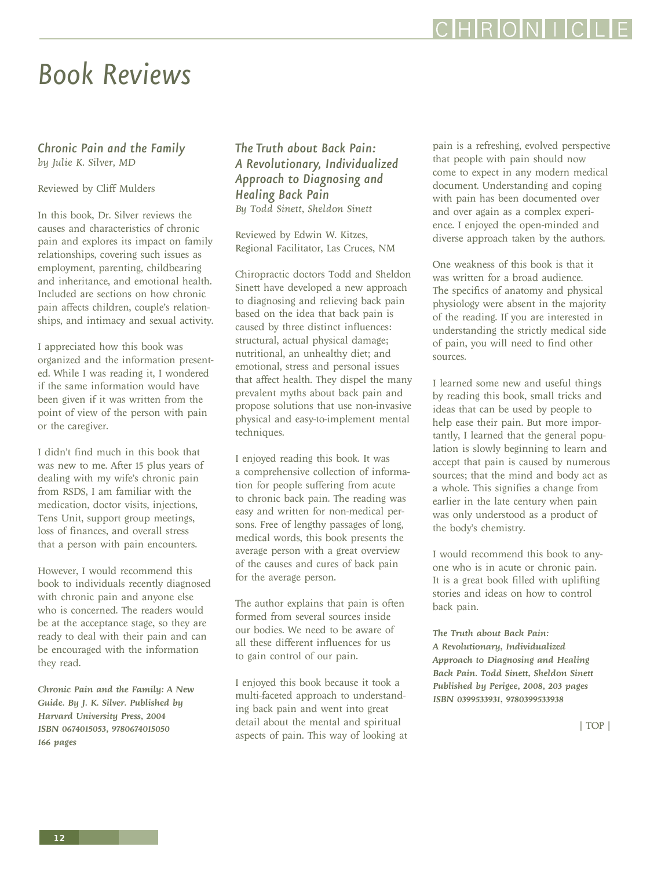**12**

### <span id="page-11-0"></span>*Book Reviews*

*Chronic Pain and the Family by Julie K. Silver, MD*

Reviewed by Cliff Mulders

In this book, Dr. Silver reviews the causes and characteristics of chronic pain and explores its impact on family relationships, covering such issues as employment, parenting, childbearing and inheritance, and emotional health. Included are sections on how chronic pain affects children, couple's relationships, and intimacy and sexual activity.

I appreciated how this book was organized and the information presented. While I was reading it, I wondered if the same information would have been given if it was written from the point of view of the person with pain or the caregiver.

I didn't find much in this book that was new to me. After 15 plus years of dealing with my wife's chronic pain from RSDS, I am familiar with the medication, doctor visits, injections, Tens Unit, support group meetings, loss of finances, and overall stress that a person with pain encounters.

However, I would recommend this book to individuals recently diagnosed with chronic pain and anyone else who is concerned. The readers would be at the acceptance stage, so they are ready to deal with their pain and can be encouraged with the information they read.

*Chronic Pain and the Family: A New Guide. By J. K. Silver. Published by Harvard University Press, 2004 ISBN 0674015053, 9780674015050 166 pages*

### *The Truth about Back Pain: A Revolutionary, Individualized Approach to Diagnosing and Healing Back Pain By Todd Sinett, Sheldon Sinett*

Reviewed by Edwin W. Kitzes, Regional Facilitator, Las Cruces, NM

Chiropractic doctors Todd and Sheldon Sinett have developed a new approach to diagnosing and relieving back pain based on the idea that back pain is caused by three distinct influences: structural, actual physical damage; nutritional, an unhealthy diet; and emotional, stress and personal issues that affect health. They dispel the many prevalent myths about back pain and propose solutions that use non-invasive physical and easy-to-implement mental techniques.

I enjoyed reading this book. It was a comprehensive collection of information for people suffering from acute to chronic back pain. The reading was easy and written for non-medical persons. Free of lengthy passages of long, medical words, this book presents the average person with a great overview of the causes and cures of back pain for the average person.

The author explains that pain is often formed from several sources inside our bodies. We need to be aware of all these different influences for us to gain control of our pain.

I enjoyed this book because it took a multi-faceted approach to understanding back pain and went into great detail about the mental and spiritual aspects of pain. This way of looking at pain is a refreshing, evolved perspective that people with pain should now come to expect in any modern medical document. Understanding and coping with pain has been documented over and over again as a complex experience. I enjoyed the open-minded and diverse approach taken by the authors.

One weakness of this book is that it was written for a broad audience. The specifics of anatomy and physical physiology were absent in the majority of the reading. If you are interested in understanding the strictly medical side of pain, you will need to find other sources.

I learned some new and useful things by reading this book, small tricks and ideas that can be used by people to help ease their pain. But more importantly, I learned that the general population is slowly beginning to learn and accept that pain is caused by numerous sources; that the mind and body act as a whole. This signifies a change from earlier in the late century when pain was only understood as a product of the body's chemistry.

I would recommend this book to anyone who is in acute or chronic pain. It is a great book filled with uplifting stories and ideas on how to control back pain.

*The Truth about Back Pain: A Revolutionary, Individualized Approach to Diagnosing and Healing Back Pain. Todd Sinett, Sheldon Sinett Published by Perigee, 2008, 203 pages ISBN 0399533931, 9780399533938*

[| TOP |](#page-0-0)

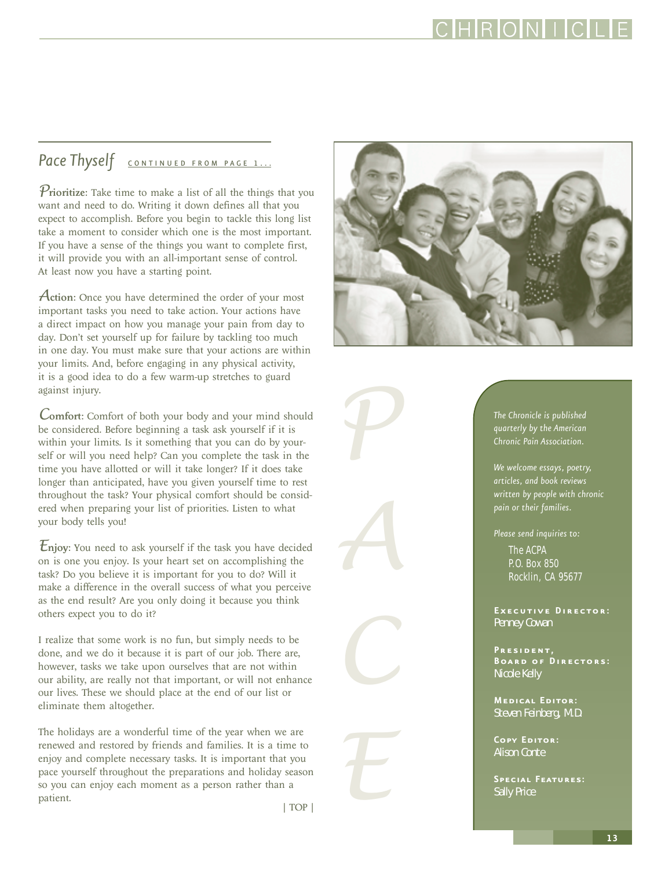### <span id="page-12-0"></span>Pace Thyself **[CONTINUED FROM PAGE 1...](#page-0-0)**

*Prioritize:* Take time to make a list of all the things that you want and need to do. Writing it down defines all that you expect to accomplish. Before you begin to tackle this long list take a moment to consider which one is the most important. If you have a sense of the things you want to complete first, it will provide you with an all-important sense of control. At least now you have a starting point.

*A*ction: Once you have determined the order of your most important tasks you need to take action. Your actions have a direct impact on how you manage your pain from day to day. Don't set yourself up for failure by tackling too much in one day. You must make sure that your actions are within your limits. And, before engaging in any physical activity, it is a good idea to do a few warm-up stretches to guard against injury.

*C*omfort: Comfort of both your body and your mind should be considered. Before beginning a task ask yourself if it is within your limits. Is it something that you can do by yourself or will you need help? Can you complete the task in the time you have allotted or will it take longer? If it does take longer than anticipated, have you given yourself time to rest throughout the task? Your physical comfort should be considered when preparing your list of priorities. Listen to what your body tells you!

*E*njoy: You need to ask yourself if the task you have decided on is one you enjoy. Is your heart set on accomplishing the task? Do you believe it is important for you to do? Will it make a difference in the overall success of what you perceive as the end result? Are you only doing it because you think others expect you to do it?

I realize that some work is no fun, but simply needs to be done, and we do it because it is part of our job. There are, however, tasks we take upon ourselves that are not within our ability, are really not that important, or will not enhance our lives. These we should place at the end of our list or eliminate them altogether.

The holidays are a wonderful time of the year when we are renewed and restored by friends and families. It is a time to enjoy and complete necessary tasks. It is important that you pace yourself throughout the preparations and holiday season so you can enjoy each moment as a person rather than a patient. [| TOP |](#page-0-0)

*P A C E*

*The Chronicle is published quarterly by the American Chronic Pain Association.*

*We welcome essays, poetry, articles, and book reviews written by people with chronic pain or their families.*

*Please send inquiries to:*

The ACPA P.O. Box 850 Rocklin, CA 95677

**Executive Director:** Penney Cowan

**President, Board of Directors:** Nicole Kelly

**Medical Editor:** Steven Feinberg, M.D.

**Copy Editor:** Alison Conte

**Special Features:** Sally Price